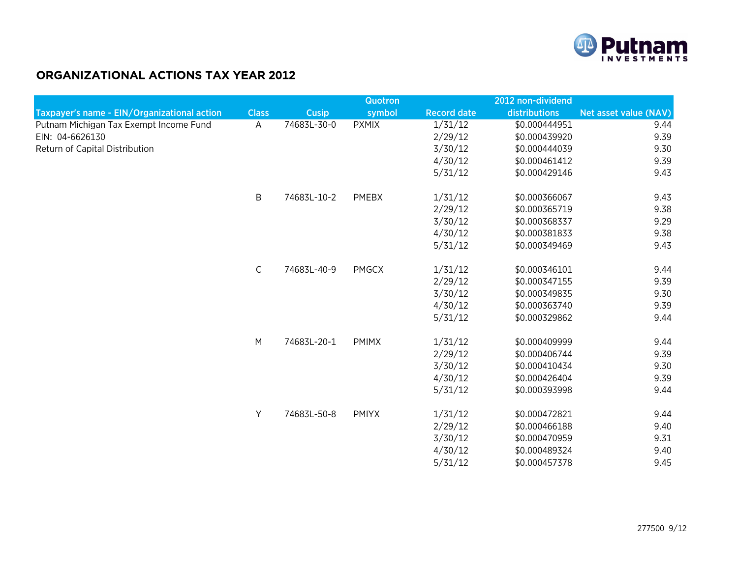

## ORGANIZATIONAL ACTIONS TAX YEAR 2012

|                                             |              |              | <b>Quotron</b> |                    | 2012 non-dividend |                       |
|---------------------------------------------|--------------|--------------|----------------|--------------------|-------------------|-----------------------|
| Taxpayer's name - EIN/Organizational action | <b>Class</b> | <b>Cusip</b> | symbol         | <b>Record date</b> | distributions     | Net asset value (NAV) |
| Putnam Michigan Tax Exempt Income Fund      | A            | 74683L-30-0  | <b>PXMIX</b>   | 1/31/12            | \$0.000444951     | 9.44                  |
| EIN: 04-6626130                             |              |              |                | 2/29/12            | \$0.000439920     | 9.39                  |
| Return of Capital Distribution              |              |              |                | 3/30/12            | \$0.000444039     | 9.30                  |
|                                             |              |              |                | 4/30/12            | \$0.000461412     | 9.39                  |
|                                             |              |              |                | 5/31/12            | \$0.000429146     | 9.43                  |
|                                             | B            | 74683L-10-2  | PMEBX          | 1/31/12            | \$0.000366067     | 9.43                  |
|                                             |              |              |                | 2/29/12            | \$0.000365719     | 9.38                  |
|                                             |              |              |                | 3/30/12            | \$0.000368337     | 9.29                  |
|                                             |              |              |                | 4/30/12            | \$0.000381833     | 9.38                  |
|                                             |              |              |                | 5/31/12            | \$0.000349469     | 9.43                  |
|                                             | $\mathsf C$  | 74683L-40-9  | <b>PMGCX</b>   | 1/31/12            | \$0.000346101     | 9.44                  |
|                                             |              |              |                | 2/29/12            | \$0.000347155     | 9.39                  |
|                                             |              |              |                | 3/30/12            | \$0.000349835     | 9.30                  |
|                                             |              |              |                | 4/30/12            | \$0.000363740     | 9.39                  |
|                                             |              |              |                | 5/31/12            | \$0.000329862     | 9.44                  |
|                                             | M            | 74683L-20-1  | <b>PMIMX</b>   | 1/31/12            | \$0.000409999     | 9.44                  |
|                                             |              |              |                | 2/29/12            | \$0.000406744     | 9.39                  |
|                                             |              |              |                | 3/30/12            | \$0.000410434     | 9.30                  |
|                                             |              |              |                | 4/30/12            | \$0.000426404     | 9.39                  |
|                                             |              |              |                | 5/31/12            | \$0.000393998     | 9.44                  |
|                                             | Y            | 74683L-50-8  | <b>PMIYX</b>   | 1/31/12            | \$0.000472821     | 9.44                  |
|                                             |              |              |                | 2/29/12            | \$0.000466188     | 9.40                  |
|                                             |              |              |                | 3/30/12            | \$0.000470959     | 9.31                  |
|                                             |              |              |                | 4/30/12            | \$0.000489324     | 9.40                  |
|                                             |              |              |                | 5/31/12            | \$0.000457378     | 9.45                  |